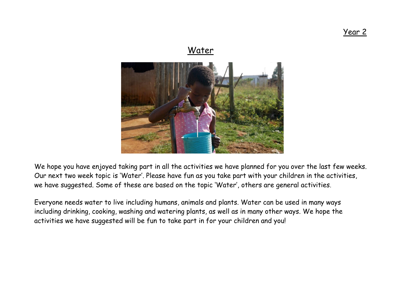# Year 2

# **Water**

We hope you have enjoyed taking part in all the activities we have planned for you over the last few weeks. Our next two week topic is 'Water'. Please have fun as you take part with your children in the activities, we have suggested. Some of these are based on the topic 'Water', others are general activities.

Everyone needs water to live including humans, animals and plants. Water can be used in many ways including drinking, cooking, washing and watering plants, as well as in many other ways. We hope the activities we have suggested will be fun to take part in for your children and you!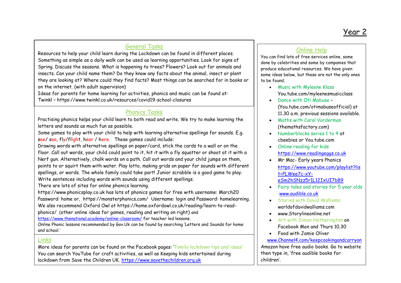# Year 2

#### General Tasks

Resources to help your child learn during the Lockdown can be found in different places. Something as simple as a daily walk can be used as learning opportunities. Look for signs of Spring. Discuss the seasons. What is happening to trees? Flowers? Look out for animals and insects. Can your child name them? Do they know any facts about the animal, insect or plant they are looking at? Where could they find facts? Most things can be searched for in books or on the internet. (with adult supervision)

Ideas for parents for home learning for activities, phonics and music can be found at: Twinkl – <https://www.twinkl.co.uk/resources/covid19-school-closures>

## Phonics Tasks

Practising phonics helps your child learn to both read and write. We try to make learning the letters and sounds as much fun as possible.

Some games to play with your child to help with learning alternative spellings for sounds. E.g. see/ sea, fly/flight, hear / here. These games could include:

Drawing words with alternative spellings on paper/card, stick the cards to a wall or on the floor. Call out words, your child could point to it, hit it with a fly squatter or shoot at it with a Nerf gun. Alternatively, chalk words on a path. Call out words and your child jumps on them, points to or squirt them with water. Play lotto, making grids on paper for sounds with different spellings, or words. The whole family could take part! Junior scrabble is a good game to play. Write sentences including words with sounds using different spellings.

There are lots of sites for online phonics learning.

the code is CVDTWINKLHELPS in the code is CVDTWINKLHELPS in the code is CVDTWINKLHELPS in the code is considered in

[https://www.phonicsplay.co.uk](https://www.phonicsplay.co.uk/) has lots of phonics games for free with username: March20 Password: home or, <https://monsterphonics.com/>Username: login and Password: homelearning. We also recommend Oxford Owl at [https://home.oxfordowl.co.uk/reading/learn-to-read](https://home.oxfordowl.co.uk/reading/learn-to-read-phonics/)[phonics/](https://home.oxfordowl.co.uk/reading/learn-to-read-phonics/) (other online ideas for games, reading and writing on right) and

<https://www.thenational.academy/online-classroom/> for teacher led lessons.

Online Phonic lessons recommended by Gov.Uk can be found by searching 'Letters and Sounds for home and school.'

## Links

More ideas for parents can be found on the Facebook pages: 'Family lockdown tips and ideas' You can search YouTube for craft activities, as well as Keeping kids entertained during lockdown from Save the Children UK. [https://www.savethechildren.org.uk](https://www.savethechildren.org.uk/)

## Online Help

You can find lots of free services online, some done by celebrities and some by companies that produce educational resources. We have given some ideas below, but these are not the only ones to be found.

- Music with Myleene Klass You.tube.com/myleenesmusicclass
- Dance with Oti Mabuse -(You.tube.com/otimabuseofficial) at 11.30 a.m. previous sessions available.
- Maths with Carol Vorderman (themathsfactory.com)
- Numberblocks series 1 to 4 at cbeebies or You.tube.com
- Online reading for kids [https://www.readingeggs.co.uk](https://www.readingeggs.co.uk/)
- Mr Mac- Early years Phonics [https://www.youtube.com/playlist?lis](https://www.youtube.com/playlist?list=PLWee7c-xY-eSm2hSNzz5r1L12IxUI7b89) [t=PLWee7c-xY](https://www.youtube.com/playlist?list=PLWee7c-xY-eSm2hSNzz5r1L12IxUI7b89)
	- [eSm2hSNzz5r1L12IxUI7b89](https://www.youtube.com/playlist?list=PLWee7c-xY-eSm2hSNzz5r1L12IxUI7b89)
- Fairy tales and stories for 5 year olds [www.audible.co.uk](http://www.audible.co.uk/)
- **Stories with David Walliams** worldofdavidwalliams.com
- [www.Storylineonline.net](http://www.storylineonline.net/)
- Art with Simon Hetherington on Facebook Mon and Thurs 10.30
- Food with Jamie Oliver [www.Channel4.com/keepcookingandcarryon](http://www.channel4.com/keepcookingandcarryon)

Amazon have free audio books. Go to website then type in, 'free audible books for children'.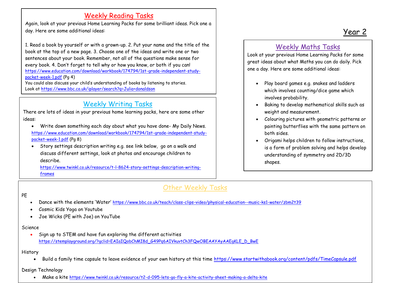# Weekly Reading Tasks

Again, look at your previous Home Learning Packs for some brilliant ideas. Pick one a day. Here are some additional ideas:

1. Read a book by yourself or with a grown-up. 2. Put your name and the title of the book at the top of a new page. 3. Choose one of the ideas and write one or two sentences about your book. Remember, not all of the questions make sense for every book. 4. Don't forget to tell why or how you know, or both if you can! [https://www.education.com/download/workbook/174794/1st-grade-independent-study](https://www.education.com/download/workbook/174794/1st-grade-independent-study-packet-week-1.pdf)[packet-week-1.pdf](https://www.education.com/download/workbook/174794/1st-grade-independent-study-packet-week-1.pdf) (Pg 4)

You could also discuss your child's understanding of books by listening to stories. Look at<https://www.bbc.co.uk/iplayer/search?q=Julia+donaldson>

# Weekly Writing Tasks

There are lots of ideas in your previous home learning packs, here are some other ideas:

- Write down something each day about what you have done- My Daily News. [https://www.education.com/download/workbook/174794/1st-grade-independent-study](https://www.education.com/download/workbook/174794/1st-grade-independent-study-packet-week-1.pdf)[packet-week-1.pdf](https://www.education.com/download/workbook/174794/1st-grade-independent-study-packet-week-1.pdf) (Pg 8)
- Story settings description writing e.g. see link below, go on a walk and discuss different settings, look at photos and encourage children to describe.

[https://www.twinkl.co.uk/resource/t-l-8624-story-settings-description-writing](https://www.twinkl.co.uk/resource/t-l-8624-story-settings-description-writing-frames)[frames](https://www.twinkl.co.uk/resource/t-l-8624-story-settings-description-writing-frames)

# Weekly Maths Tasks

Look at your previous Home Learning Packs for some great ideas about what Maths you can do daily. Pick one a day. Here are some additional ideas:

- Play board games e.g. snakes and ladders which involves counting/dice game which involves probability.
- Baking to develop mathematical skills such as weight and measurement.
- Colouring pictures with geometric patterns or painting butterflies with the same pattern on both sides.
- Origami helps children to follow instructions, is a form of problem solving and helps develop understanding of symmetry and 2D/3D shapes.

# Other Weekly Tasks

#### PE

- Dance with the elements 'Water' <https://www.bbc.co.uk/teach/class-clips-video/physical-education--music-ks1-water/zbm2t39>
- Cosmic Kids Yoga on Youtube
- Joe Wicks (PE with Joe) on YouTube

#### Science

 Sign up to STEM and have fun exploring the different activities [https://stemplayground.org/?gclid=EAIaIQobChMI8d\\_G49Pq6AIVkuvtCh3FQwOBEAAYAyAAEgKLE\\_D\\_BwE](https://stemplayground.org/?gclid=EAIaIQobChMI8d_G49Pq6AIVkuvtCh3FQwOBEAAYAyAAEgKLE_D_BwE)

#### History

. Build a family time capsule to leave evidence of your own history at this time<https://www.startwithabook.org/content/pdfs/TimeCapsule.pdf>

#### Design Technology

Make a kite <https://www.twinkl.co.uk/resource/t2-d-095-lets-go-fly-a-kite-activity-sheet-making-a-delta-kite>

# Year 2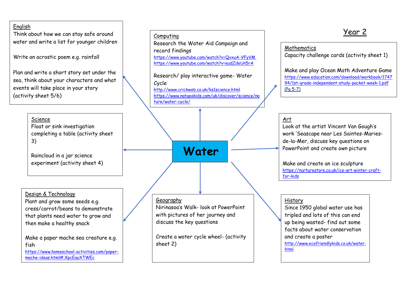## English

Think about how we can stay safe around water and write a list for younger children

Write an acrostic poem e.g. rainfall

Plan and write a short story set under the sea, think about your characters and what events will take place in your story (activity sheet 5/6)

## Science Float or sink investigation completing a table (activity sheet 3)

Raincloud in a jar science experiment (activity sheet 4)

## Design & Technology

Plant and grow some seeds e.g. cress/carrot/beans to demonstrate that plants need water to grow and then make a healthy snack

Make a paper mache sea creature e.g. fish

[https://www.homeschool-activities.com/paper](https://www.homeschool-activities.com/paper-mache-ideas.html#.XpcEayXTWEc)[mache-ideas.html#.XpcEayXTWEc](https://www.homeschool-activities.com/paper-mache-ideas.html#.XpcEayXTWEc)

#### Computing

Research the Water Aid Campaign and record findings <https://www.youtube.com/watch?v=QvxuA-VFyVM> <https://www.youtube.com/watch?v=eudZdeUn5rA>

Research/ play interactive game- Water Cycle <http://www.crickweb.co.uk/ks1science.html> [https://www.natgeokids.com/uk/discover/science/na](https://www.natgeokids.com/uk/discover/science/nature/water-cycle/) [ture/water-cycle/](https://www.natgeokids.com/uk/discover/science/nature/water-cycle/)

# **Water**

## **Geography**

Nirinasoa's Walk- look at PowerPoint with pictures of her journey and discuss the key questions

Create a water cycle wheel- (activity sheet 2)

# Year 2

**Mathematics** Capacity challenge cards (activity sheet 1)

Make and play Ocean Math Adventure Game [https://www.education.com/download/workbook/1747](https://www.education.com/download/workbook/174794/1st-grade-independent-study-packet-week-1.pdf) [94/1st-grade-independent-study-packet-week-1.pdf](https://www.education.com/download/workbook/174794/1st-grade-independent-study-packet-week-1.pdf) (Pg 5-7)

## Art

Look at the artist Vincent Van Gough's work 'Seascape near Les Saintes-Mariesde-la-Mer, discuss key questions on PowerPoint and create own picture

Make and create an ice sculpture [https://nurturestore.co.uk/ice-art-winter-craft](https://nurturestore.co.uk/ice-art-winter-craft-for-kids)[for-kids](https://nurturestore.co.uk/ice-art-winter-craft-for-kids)

#### History

Since 1950 global water use has tripled and lots of this can end up being wasted- find out some facts about water conservation and create a poster [http://www.ecofriendlykids.co.uk/water.](http://www.ecofriendlykids.co.uk/water.html) [html](http://www.ecofriendlykids.co.uk/water.html)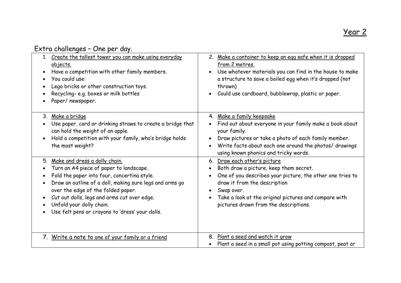# Extra challenges – One per day.

| 1. Create the tallest tower you can make using everyday<br>objects.<br>Have a competition with other family members.<br>You could use:<br>$\bullet$<br>Lego bricks or other construction toys.<br>Recycling-e.g. boxes or milk bottles<br>Paper/newspaper.                                                                                                                                                                                 | Make a container to keep an egg safe when it is dropped<br>2.<br>from 2 metres.<br>Use whatever materials you can find in the house to make<br>a structure to save a boiled egg when it's dropped (not<br>thrown)<br>Could use cardboard, bubblewrap, plastic or paper.             |
|--------------------------------------------------------------------------------------------------------------------------------------------------------------------------------------------------------------------------------------------------------------------------------------------------------------------------------------------------------------------------------------------------------------------------------------------|-------------------------------------------------------------------------------------------------------------------------------------------------------------------------------------------------------------------------------------------------------------------------------------|
| 3. Make a bridge<br>Use paper, card or drinking straws to create a bridge that<br>$\bullet$<br>can hold the weight of an apple.<br>Hold a competition with your family, who's bridge holds<br>the most weight?                                                                                                                                                                                                                             | 4. Make a family keepsake<br>Find out about everyone in your family make a book about<br>your family.<br>Draw pictures or take a photo of each family member.<br>Write facts about each one around the photos/ drawings<br>using known phonics and tricky words.                    |
| Make and dress a dolly chain.<br>5.<br>Turn an A4 piece of paper to landscape.<br>$\bullet$<br>Fold the paper into four, concertina style.<br>$\bullet$<br>Draw an outline of a doll, making sure legs and arms go<br>$\bullet$<br>over the edge of the folded paper.<br>Cut out dolls, legs and arms cut over edge.<br>$\bullet$<br>Unfold your dolly chain.<br>$\bullet$<br>Use felt pens or crayons to 'dress' your dolls.<br>$\bullet$ | 6. Draw each other's picture<br>Both draw a picture, keep them secret.<br>One of you describes your picture, the other one tries to<br>draw it from the description<br>Swap over.<br>Take a look at the original pictures and compare with<br>pictures drawn from the descriptions. |
| 7. Write a note to one of your family or a friend                                                                                                                                                                                                                                                                                                                                                                                          | Plant a seed and watch it grow<br>8.<br>Plant a seed in a small pot using potting compost, peat or                                                                                                                                                                                  |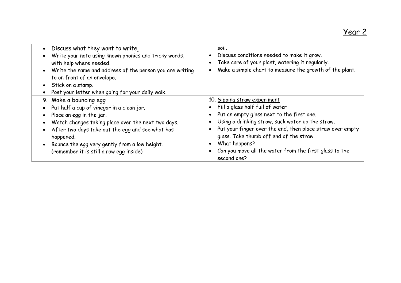| • Discuss what they want to write.<br>Write your note using known phonics and tricky words,<br>with help where needed.<br>• Write the name and address of the person you are writing<br>to on front of an envelope.<br>• Stick on a stamp.<br>Post your letter when going for your daily walk. | soil.<br>Discuss conditions needed to make it grow.<br>Take care of your plant, watering it regularly.<br>Make a simple chart to measure the growth of the plant. |
|------------------------------------------------------------------------------------------------------------------------------------------------------------------------------------------------------------------------------------------------------------------------------------------------|-------------------------------------------------------------------------------------------------------------------------------------------------------------------|
| 9. Make a bouncing egg<br>Put half a cup of vinegar in a clean jar.<br>Place an egg in the jar.                                                                                                                                                                                                | 10. Sipping straw experiment<br>• Fill a glass half full of water<br>Put an empty glass next to the first one.                                                    |
| Watch changes taking place over the next two days.                                                                                                                                                                                                                                             | Using a drinking straw, suck water up the straw.<br>Put your finger over the end, then place straw over empty                                                     |
| After two days take out the egg and see what has<br>happened.                                                                                                                                                                                                                                  | glass. Take thumb off end of the straw.                                                                                                                           |
| Bounce the egg very gently from a low height.<br>(remember it is still a raw egg inside)                                                                                                                                                                                                       | What happens?<br>Can you move all the water from the first glass to the<br>second one?                                                                            |